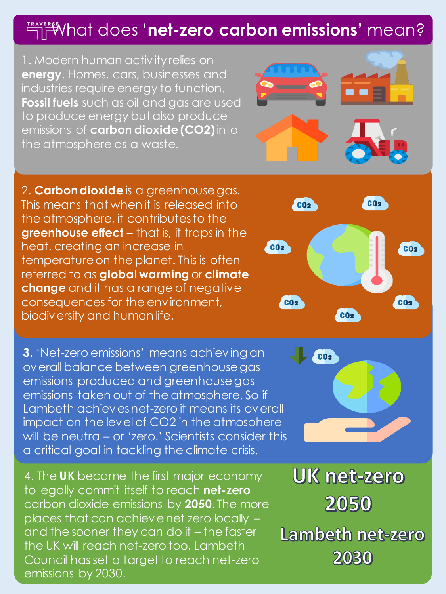## **EXPRED TRAVERED TO A 2000 STARK TO A 2000 STARK EXPREDICT mean?**

1. Modern human activity relies on **energy**. Homes, cars, businesses and industries require energy to function. **Fossil fuels** such as oil and gas are used to produce energy but also produce emissions of **carbon dioxide (CO2)** into the atmosphere as a waste.

2. **Carbon dioxide** is a greenhouse gas. This means that when it is released into the atmosphere, it contributes to the **greenhouse effect** – that is, it traps in the heat, creating an increase in temperature on the planet. This is often referred to as **global warming** or **climate change** and it has a range of negative consequences for the environment, biodiversity and human life.

**3.** 'Net-zero emissions' means achieving an overall balance between greenhouse gas emissions produced and greenhouse gas emissions taken out of the atmosphere. So if Lambeth achieves net-zero it means its overall impact on the level of CO2 in the atmosphere will be neutral- or 'zero.' Scientists consider this a critical goal in tackling the climate crisis.

4. The **UK** became the first major economy to legally commit itself to reach **net-zero** carbon dioxide emissions by **2050**. The more places that can achieve net zero locally – and the sooner they can do it – the faster the UK will reach net-zero too. Lambeth Council has set a target to reach net-zero emissions by 2030.



**UK net-zero** 2050 Lambeth net-zero 2030